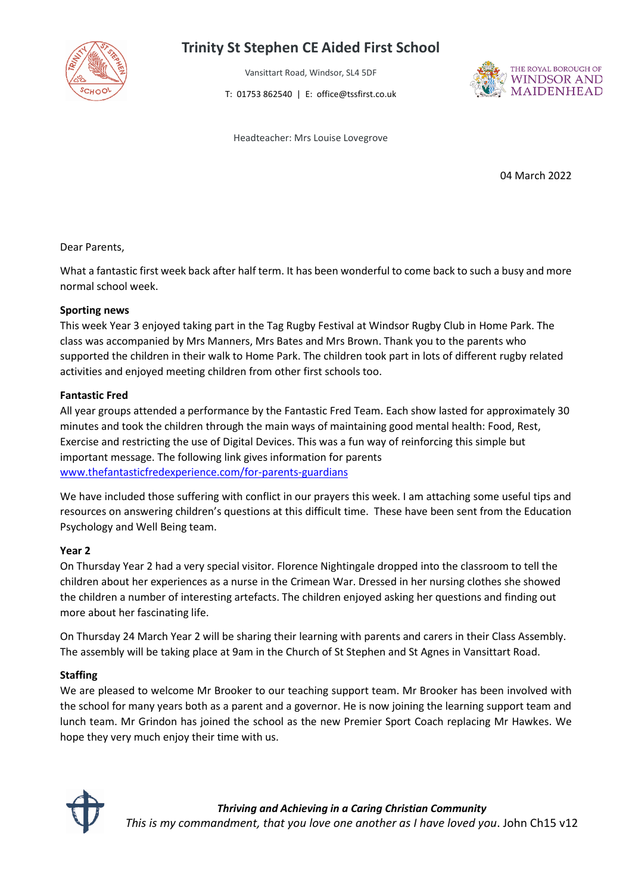

# **Trinity St Stephen CE Aided First School**

Vansittart Road, Windsor, SL4 5DF

T: 01753 862540 | E: office@tssfirst.co.uk



Headteacher: Mrs Louise Lovegrove

04 March 2022

### Dear Parents,

What a fantastic first week back after half term. It has been wonderful to come back to such a busy and more normal school week.

### **Sporting news**

This week Year 3 enjoyed taking part in the Tag Rugby Festival at Windsor Rugby Club in Home Park. The class was accompanied by Mrs Manners, Mrs Bates and Mrs Brown. Thank you to the parents who supported the children in their walk to Home Park. The children took part in lots of different rugby related activities and enjoyed meeting children from other first schools too.

#### **Fantastic Fred**

All year groups attended a performance by the Fantastic Fred Team. Each show lasted for approximately 30 minutes and took the children through the main ways of maintaining good mental health: Food, Rest, Exercise and restricting the use of Digital Devices. This was a fun way of reinforcing this simple but important message. The following link gives information for parents [www.thefantasticfredexperience.com/for-parents-guardians](http://www.thefantasticfredexperience.com/for-parents-guardians)

We have included those suffering with conflict in our prayers this week. I am attaching some useful tips and resources on answering children's questions at this difficult time. These have been sent from the Education Psychology and Well Being team.

## **Year 2**

On Thursday Year 2 had a very special visitor. Florence Nightingale dropped into the classroom to tell the children about her experiences as a nurse in the Crimean War. Dressed in her nursing clothes she showed the children a number of interesting artefacts. The children enjoyed asking her questions and finding out more about her fascinating life.

On Thursday 24 March Year 2 will be sharing their learning with parents and carers in their Class Assembly. The assembly will be taking place at 9am in the Church of St Stephen and St Agnes in Vansittart Road.

## **Staffing**

We are pleased to welcome Mr Brooker to our teaching support team. Mr Brooker has been involved with the school for many years both as a parent and a governor. He is now joining the learning support team and lunch team. Mr Grindon has joined the school as the new Premier Sport Coach replacing Mr Hawkes. We hope they very much enjoy their time with us.

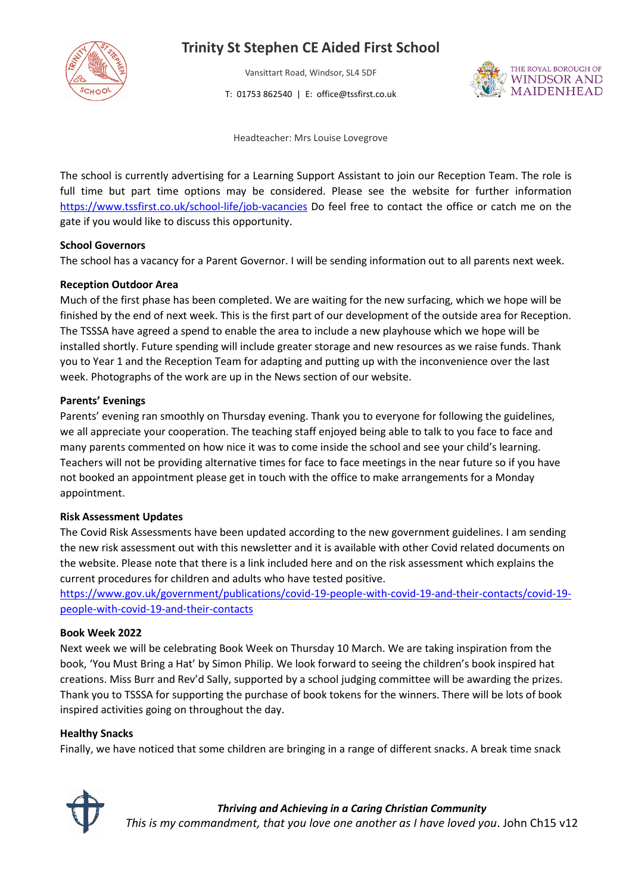

# **Trinity St Stephen CE Aided First School**

Vansittart Road, Windsor, SL4 5DF

T: 01753 862540 | E: office@tssfirst.co.uk



Headteacher: Mrs Louise Lovegrove

The school is currently advertising for a Learning Support Assistant to join our Reception Team. The role is full time but part time options may be considered. Please see the website for further information <https://www.tssfirst.co.uk/school-life/job-vacancies> Do feel free to contact the office or catch me on the gate if you would like to discuss this opportunity.

#### **School Governors**

The school has a vacancy for a Parent Governor. I will be sending information out to all parents next week.

#### **Reception Outdoor Area**

Much of the first phase has been completed. We are waiting for the new surfacing, which we hope will be finished by the end of next week. This is the first part of our development of the outside area for Reception. The TSSSA have agreed a spend to enable the area to include a new playhouse which we hope will be installed shortly. Future spending will include greater storage and new resources as we raise funds. Thank you to Year 1 and the Reception Team for adapting and putting up with the inconvenience over the last week. Photographs of the work are up in the News section of our website.

#### **Parents' Evenings**

Parents' evening ran smoothly on Thursday evening. Thank you to everyone for following the guidelines, we all appreciate your cooperation. The teaching staff enjoyed being able to talk to you face to face and many parents commented on how nice it was to come inside the school and see your child's learning. Teachers will not be providing alternative times for face to face meetings in the near future so if you have not booked an appointment please get in touch with the office to make arrangements for a Monday appointment.

#### **Risk Assessment Updates**

The Covid Risk Assessments have been updated according to the new government guidelines. I am sending the new risk assessment out with this newsletter and it is available with other Covid related documents on the website. Please note that there is a link included here and on the risk assessment which explains the current procedures for children and adults who have tested positive.

[https://www.gov.uk/government/publications/covid-19-people-with-covid-19-and-their-contacts/covid-19](https://www.gov.uk/government/publications/covid-19-people-with-covid-19-and-their-contacts/covid-19-people-with-covid-19-and-their-contacts) [people-with-covid-19-and-their-contacts](https://www.gov.uk/government/publications/covid-19-people-with-covid-19-and-their-contacts/covid-19-people-with-covid-19-and-their-contacts)

#### **Book Week 2022**

Next week we will be celebrating Book Week on Thursday 10 March. We are taking inspiration from the book, 'You Must Bring a Hat' by Simon Philip. We look forward to seeing the children's book inspired hat creations. Miss Burr and Rev'd Sally, supported by a school judging committee will be awarding the prizes. Thank you to TSSSA for supporting the purchase of book tokens for the winners. There will be lots of book inspired activities going on throughout the day.

#### **Healthy Snacks**

Finally, we have noticed that some children are bringing in a range of different snacks. A break time snack



*Thriving and Achieving in a Caring Christian Community This is my commandment, that you love one another as I have loved you*. John Ch15 v12